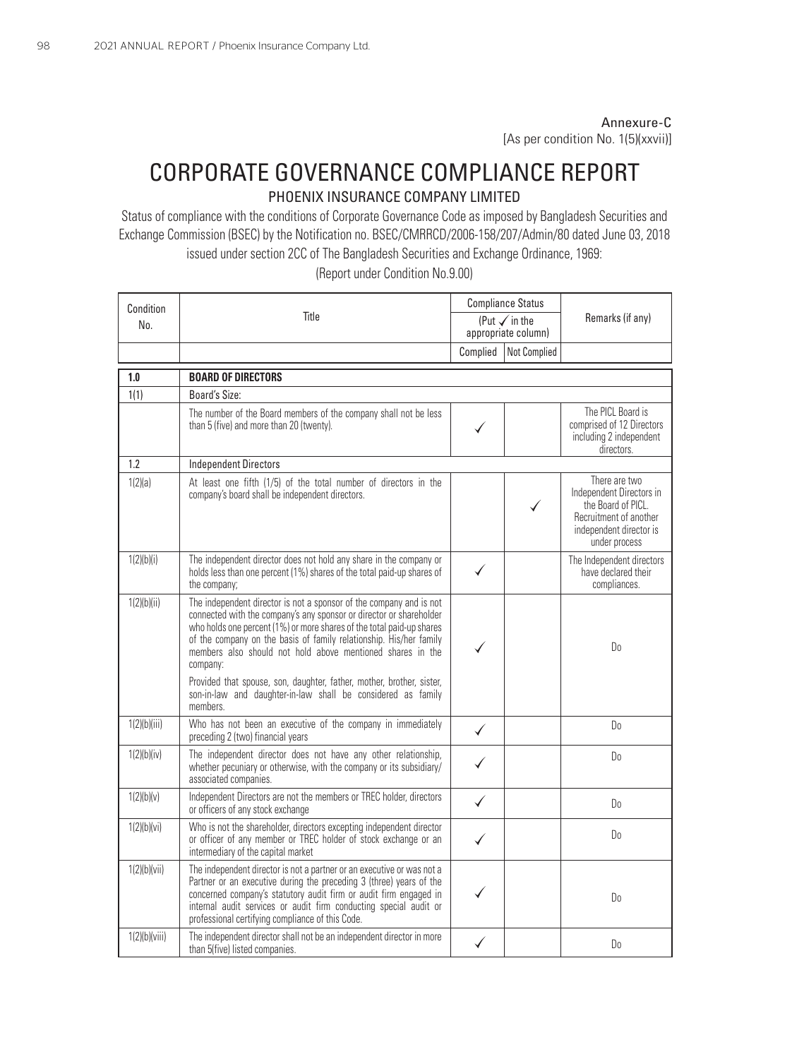## Annexure-C

[As per condition No. 1(5)(xxvii)]

## CORPORATE GOVERNANCE COMPLIANCE REPORT

## PHOENIX INSURANCE COMPANY LIMITED

Status of compliance with the conditions of Corporate Governance Code as imposed by Bangladesh Securities and Exchange Commission (BSEC) by the Notification no. BSEC/CMRRCD/2006-158/207/Admin/80 dated June 03, 2018 issued under section 2CC of The Bangladesh Securities and Exchange Ordinance, 1969:

Condition No. 2012 11:30 No. 2012 Compliance Status  $N$ o.  $\vert$  in the Remarks (if any) appropriate column) Complied Not Complied **1.0 BOARD OF DIRECTORS** 1(1) Board's Size: The number of the Board members of the company shall not be less than 5 (five) and more than 20 (twenty). company's board shall be independent directors. The PICL Board is comprised of 12 Directors including 2 independent directors. There are two the Board of PICL.

(Report under Condition No.9.00)

|               |                                                                                                                                                                                                                                                                                                                                                                     | moluumy 2 muoponuont<br>directors.                                                                                                    |
|---------------|---------------------------------------------------------------------------------------------------------------------------------------------------------------------------------------------------------------------------------------------------------------------------------------------------------------------------------------------------------------------|---------------------------------------------------------------------------------------------------------------------------------------|
| 1.2           | <b>Independent Directors</b>                                                                                                                                                                                                                                                                                                                                        |                                                                                                                                       |
| 1(2)(a)       | At least one fifth (1/5) of the total number of directors in the<br>company's board shall be independent directors.                                                                                                                                                                                                                                                 | There are two<br>Independent Directors in<br>the Board of PICL.<br>Recruitment of another<br>independent director is<br>under process |
| 1(2)(b)(i)    | The independent director does not hold any share in the company or<br>holds less than one percent (1%) shares of the total paid-up shares of<br>the company;                                                                                                                                                                                                        | The Independent directors<br>have declared their<br>compliances.                                                                      |
| 1(2)(b)(ii)   | The independent director is not a sponsor of the company and is not<br>connected with the company's any sponsor or director or shareholder<br>who holds one percent (1%) or more shares of the total paid-up shares<br>of the company on the basis of family relationship. His/her family<br>members also should not hold above mentioned shares in the<br>company: | D <sub>0</sub>                                                                                                                        |
|               | Provided that spouse, son, daughter, father, mother, brother, sister,<br>son-in-law and daughter-in-law shall be considered as family<br>members                                                                                                                                                                                                                    |                                                                                                                                       |
| 1(2)(b)(iii)  | Who has not been an executive of the company in immediately<br>preceding 2 (two) financial years                                                                                                                                                                                                                                                                    | D <sub>0</sub>                                                                                                                        |
| 1(2)(b)(iv)   | The independent director does not have any other relationship,<br>whether pecuniary or otherwise, with the company or its subsidiary/<br>associated companies.                                                                                                                                                                                                      | D <sub>0</sub>                                                                                                                        |
| 1(2)(b)(v)    | Independent Directors are not the members or TREC holder, directors<br>or officers of any stock exchange                                                                                                                                                                                                                                                            | D <sub>0</sub>                                                                                                                        |
| 1(2)(b)(vi)   | Who is not the shareholder, directors excepting independent director<br>or officer of any member or TREC holder of stock exchange or an<br>intermediary of the capital market                                                                                                                                                                                       | D <sub>0</sub>                                                                                                                        |
| 1(2)(b)(vii)  | The independent director is not a partner or an executive or was not a<br>Partner or an executive during the preceding 3 (three) years of the<br>concerned company's statutory audit firm or audit firm engaged in<br>internal audit services or audit firm conducting special audit or<br>professional certifying compliance of this Code.                         | D <sub>0</sub>                                                                                                                        |
| 1(2)(b)(viii) | The independent director shall not be an independent director in more<br>than 5(five) listed companies.                                                                                                                                                                                                                                                             | D <sub>0</sub>                                                                                                                        |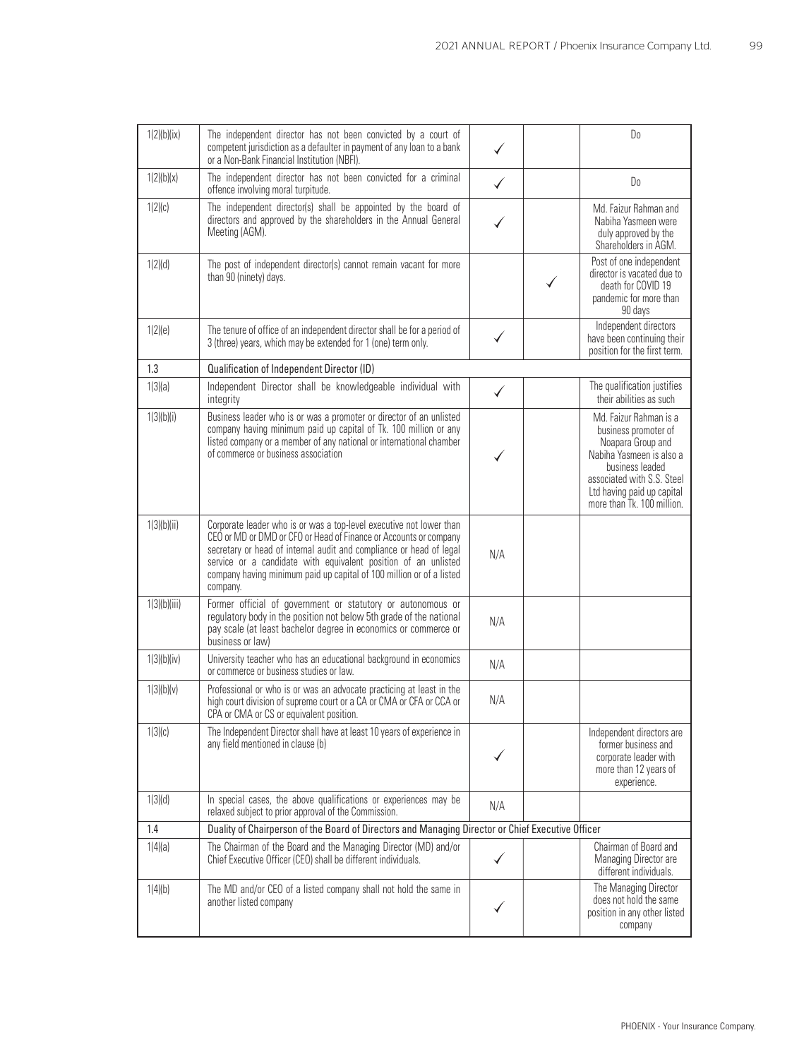| 1(2)(b)(ix)  | The independent director has not been convicted by a court of<br>competent jurisdiction as a defaulter in payment of any loan to a bank<br>or a Non-Bank Financial Institution (NBFI).                                                                                                                                                                                |              | D <sub>0</sub>                                                                                                                                                                                               |
|--------------|-----------------------------------------------------------------------------------------------------------------------------------------------------------------------------------------------------------------------------------------------------------------------------------------------------------------------------------------------------------------------|--------------|--------------------------------------------------------------------------------------------------------------------------------------------------------------------------------------------------------------|
| 1(2)(b)(x)   | The independent director has not been convicted for a criminal<br>offence involving moral turpitude.                                                                                                                                                                                                                                                                  | $\checkmark$ | Do                                                                                                                                                                                                           |
| 1(2)(c)      | The independent director(s) shall be appointed by the board of<br>directors and approved by the shareholders in the Annual General<br>Meeting (AGM).                                                                                                                                                                                                                  |              | Md. Faizur Rahman and<br>Nabiha Yasmeen were<br>duly approved by the<br>Shareholders in AGM.                                                                                                                 |
| 1(2)(d)      | The post of independent director(s) cannot remain vacant for more<br>than 90 (ninety) days.                                                                                                                                                                                                                                                                           |              | Post of one independent<br>director is vacated due to<br>death for COVID 19<br>pandemic for more than<br>90 days                                                                                             |
| 1(2)(e)      | The tenure of office of an independent director shall be for a period of<br>3 (three) years, which may be extended for 1 (one) term only.                                                                                                                                                                                                                             | ✓            | Independent directors<br>have been continuing their<br>position for the first term.                                                                                                                          |
| 1.3          | Qualification of Independent Director (ID)                                                                                                                                                                                                                                                                                                                            |              |                                                                                                                                                                                                              |
| 1(3)(a)      | Independent Director shall be knowledgeable individual with<br>integrity                                                                                                                                                                                                                                                                                              |              | The qualification justifies<br>their abilities as such                                                                                                                                                       |
| 1(3)(b)(i)   | Business leader who is or was a promoter or director of an unlisted<br>company having minimum paid up capital of Tk. 100 million or any<br>listed company or a member of any national or international chamber<br>of commerce or business association                                                                                                                 |              | Md. Faizur Rahman is a<br>business promoter of<br>Noapara Group and<br>Nabiha Yasmeen is also a<br>husiness leaded<br>associated with S.S. Steel<br>Ltd having paid up capital<br>more than Tk. 100 million. |
| 1(3)(b)(ii)  | Corporate leader who is or was a top-level executive not lower than<br>CEO or MD or DMD or CFO or Head of Finance or Accounts or company<br>secretary or head of internal audit and compliance or head of legal<br>service or a candidate with equivalent position of an unlisted<br>company having minimum paid up capital of 100 million or of a listed<br>company. | N/A          |                                                                                                                                                                                                              |
| 1(3)(b)(iii) | Former official of government or statutory or autonomous or<br>regulatory body in the position not below 5th grade of the national<br>pay scale (at least bachelor degree in economics or commerce or<br>business or law)                                                                                                                                             | N/A          |                                                                                                                                                                                                              |
| 1(3)(b)(iv)  | University teacher who has an educational background in economics<br>or commerce or business studies or law.                                                                                                                                                                                                                                                          | N/A          |                                                                                                                                                                                                              |
| 1(3)(b)(v)   | Professional or who is or was an advocate practicing at least in the<br>high court division of supreme court or a CA or CMA or CFA or CCA or<br>CPA or CMA or CS or equivalent position.                                                                                                                                                                              | N/A          |                                                                                                                                                                                                              |
| 1(3)(c)      | The Independent Director shall have at least 10 years of experience in<br>any field mentioned in clause (b)                                                                                                                                                                                                                                                           |              | Independent directors are<br>former business and<br>corporate leader with<br>more than 12 years of<br>experience.                                                                                            |
| 1(3)(d)      | In special cases, the above qualifications or experiences may be<br>relaxed subject to prior approval of the Commission.                                                                                                                                                                                                                                              | N/A          |                                                                                                                                                                                                              |
| 1.4          | Duality of Chairperson of the Board of Directors and Managing Director or Chief Executive Officer                                                                                                                                                                                                                                                                     |              |                                                                                                                                                                                                              |
| 1(4)(a)      | The Chairman of the Board and the Managing Director (MD) and/or<br>Chief Executive Officer (CEO) shall be different individuals.                                                                                                                                                                                                                                      |              | Chairman of Board and<br>Managing Director are<br>different individuals.                                                                                                                                     |
| 1(4)(b)      | The MD and/or CEO of a listed company shall not hold the same in<br>another listed company                                                                                                                                                                                                                                                                            |              | The Managing Director<br>does not hold the same<br>position in any other listed<br>company                                                                                                                   |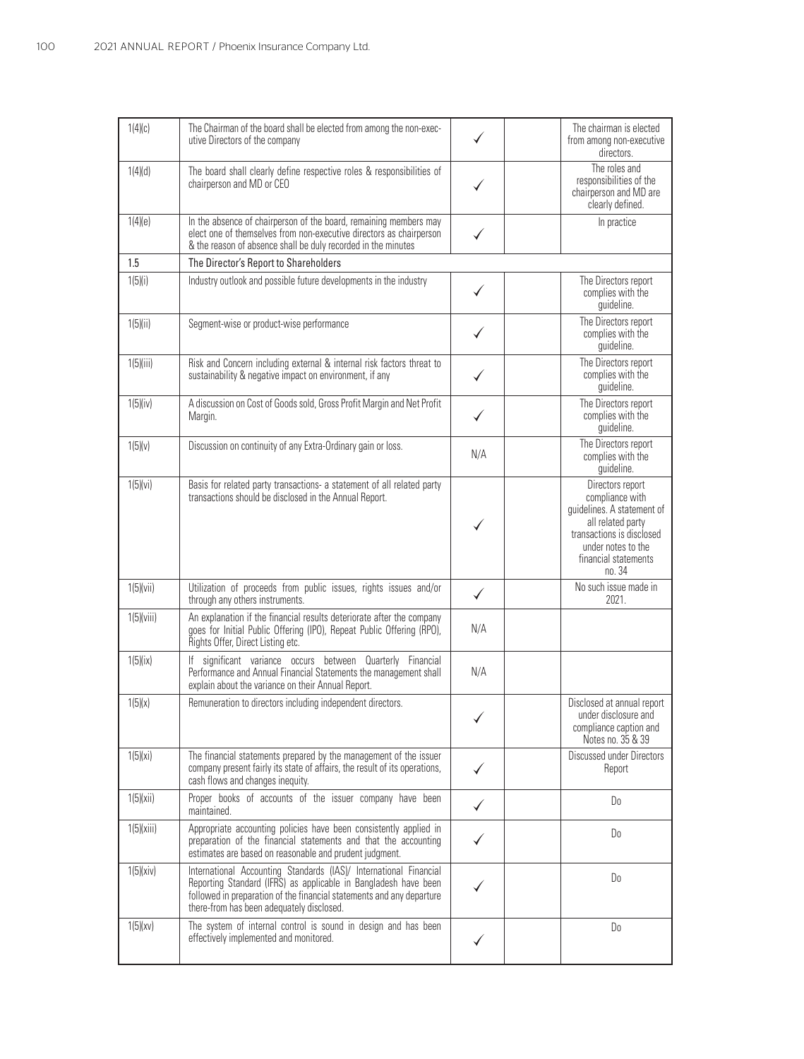| 1(4)(c)      | The Chairman of the board shall be elected from among the non-exec-<br>utive Directors of the company                                                                                                                                                      |              | The chairman is elected<br>from among non-executive<br>directors.                                                                                                          |
|--------------|------------------------------------------------------------------------------------------------------------------------------------------------------------------------------------------------------------------------------------------------------------|--------------|----------------------------------------------------------------------------------------------------------------------------------------------------------------------------|
| 1(4)(d)      | The board shall clearly define respective roles & responsibilities of<br>chairperson and MD or CEO                                                                                                                                                         |              | The roles and<br>responsibilities of the<br>chairperson and MD are<br>clearly defined.                                                                                     |
| 1(4)(e)      | In the absence of chairperson of the board, remaining members may<br>elect one of themselves from non-executive directors as chairperson<br>& the reason of absence shall be duly recorded in the minutes                                                  |              | In practice                                                                                                                                                                |
| 1.5          | The Director's Report to Shareholders                                                                                                                                                                                                                      |              |                                                                                                                                                                            |
| 1(5)(i)      | Industry outlook and possible future developments in the industry                                                                                                                                                                                          |              | The Directors report<br>complies with the<br>guideline.                                                                                                                    |
| 1(5)(ii)     | Segment-wise or product-wise performance                                                                                                                                                                                                                   |              | The Directors report<br>complies with the<br>guideline.                                                                                                                    |
| 1(5)(iii)    | Risk and Concern including external & internal risk factors threat to<br>sustainability & negative impact on environment, if any                                                                                                                           |              | The Directors report<br>complies with the<br>guideline.                                                                                                                    |
| $1(5)$ (iv)  | A discussion on Cost of Goods sold, Gross Profit Margin and Net Profit<br>Margin.                                                                                                                                                                          |              | The Directors report<br>complies with the<br>guideline.                                                                                                                    |
| 1(5)(v)      | Discussion on continuity of any Extra-Ordinary gain or loss.                                                                                                                                                                                               | N/A          | The Directors report<br>complies with the<br>guideline.                                                                                                                    |
| 1(5)(vi)     | Basis for related party transactions- a statement of all related party<br>transactions should be disclosed in the Annual Report.                                                                                                                           |              | Directors report<br>compliance with<br>guidelines. A statement of<br>all related party<br>transactions is disclosed<br>under notes to the<br>financial statements<br>no.34 |
| $1(5)$ (vii) | Utilization of proceeds from public issues, rights issues and/or<br>through any others instruments.                                                                                                                                                        | $\checkmark$ | No such issue made in<br>2021.                                                                                                                                             |
| 1(5)(viii)   | An explanation if the financial results deteriorate after the company<br>goes for Initial Public Offering (IPO), Repeat Public Offering (RPO),<br>Rights Offer, Direct Listing etc.                                                                        | N/A          |                                                                                                                                                                            |
| 1(5)(ix)     | If significant variance occurs between Quarterly Financial<br>Performance and Annual Financial Statements the management shall<br>explain about the variance on their Annual Report.                                                                       | N/A          |                                                                                                                                                                            |
| 1(5)(x)      | Remuneration to directors including independent directors.                                                                                                                                                                                                 |              | Disclosed at annual report<br>under disclosure and<br>compliance caption and<br>Notes no. 35 & 39                                                                          |
| 1(5)(xi)     | The financial statements prepared by the management of the issuer<br>company present fairly its state of affairs, the result of its operations,<br>cash flows and changes inequity.                                                                        | ✓            | Discussed under Directors<br>Report                                                                                                                                        |
| 1(5)(xii)    | Proper books of accounts of the issuer company have been<br>maintained.                                                                                                                                                                                    |              | Do                                                                                                                                                                         |
| 1(5)(xiii)   | Appropriate accounting policies have been consistently applied in<br>preparation of the financial statements and that the accounting<br>estimates are based on reasonable and prudent judgment.                                                            | ✓            | Do                                                                                                                                                                         |
| 1(5)(xiv)    | International Accounting Standards (IAS)/ International Financial<br>Reporting Standard (IFRS) as applicable in Bangladesh have been<br>followed in preparation of the financial statements and any departure<br>there-from has been adequately disclosed. |              | Do                                                                                                                                                                         |
| 1(5)(xy)     | The system of internal control is sound in design and has been<br>effectively implemented and monitored.                                                                                                                                                   |              | Do                                                                                                                                                                         |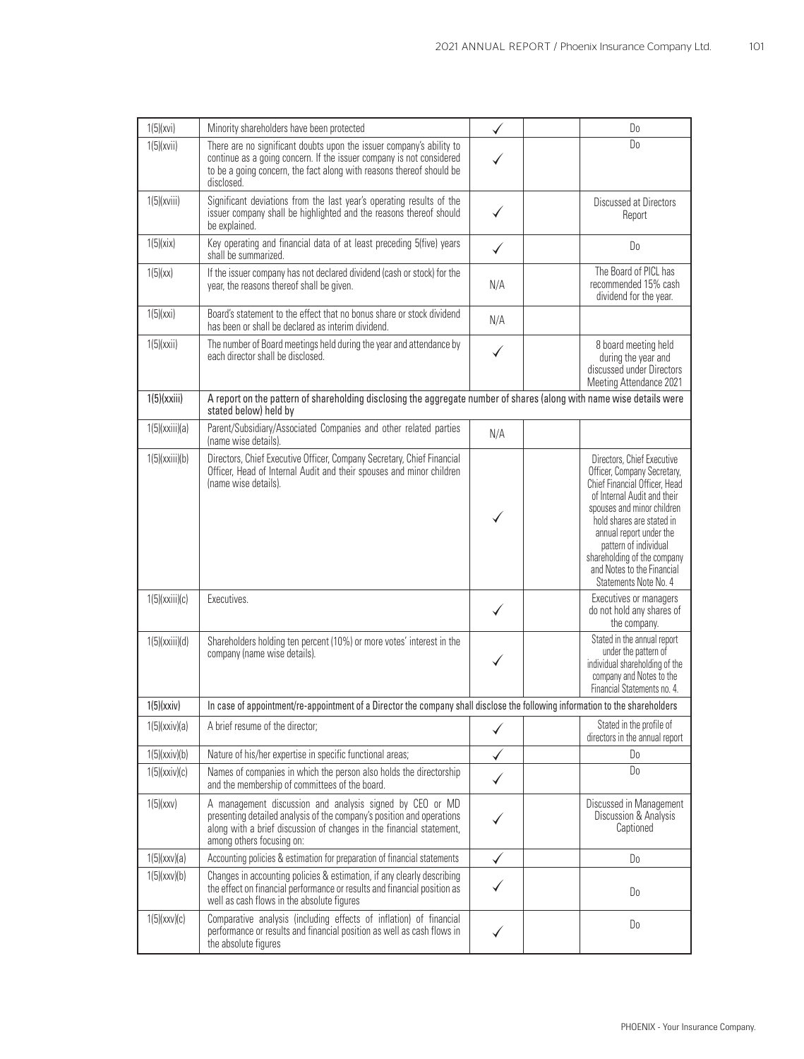| 1(5)(xvi)      | Minority shareholders have been protected                                                                                                                                                                                              |     | D <sub>0</sub>                                                                                                                                                                                                                                                                                                                 |
|----------------|----------------------------------------------------------------------------------------------------------------------------------------------------------------------------------------------------------------------------------------|-----|--------------------------------------------------------------------------------------------------------------------------------------------------------------------------------------------------------------------------------------------------------------------------------------------------------------------------------|
| 1(5)(xvii)     | There are no significant doubts upon the issuer company's ability to<br>continue as a going concern. If the issuer company is not considered<br>to be a going concern, the fact along with reasons thereof should be<br>disclosed.     |     | D <sub>0</sub>                                                                                                                                                                                                                                                                                                                 |
| $1(5)$ (xviii) | Significant deviations from the last year's operating results of the<br>issuer company shall be highlighted and the reasons thereof should<br>be explained.                                                                            | ✓   | Discussed at Directors<br>Report                                                                                                                                                                                                                                                                                               |
| 1(5)(xix)      | Key operating and financial data of at least preceding 5(five) years<br>shall be summarized.                                                                                                                                           | ✓   | D <sub>0</sub>                                                                                                                                                                                                                                                                                                                 |
| 1(5)(xx)       | If the issuer company has not declared dividend (cash or stock) for the<br>year, the reasons thereof shall be given.                                                                                                                   | N/A | The Board of PICL has<br>recommended 15% cash<br>dividend for the year.                                                                                                                                                                                                                                                        |
| 1(5)(xxi)      | Board's statement to the effect that no bonus share or stock dividend<br>has been or shall be declared as interim dividend.                                                                                                            | N/A |                                                                                                                                                                                                                                                                                                                                |
| 1(5)(xxii)     | The number of Board meetings held during the year and attendance by<br>each director shall be disclosed.                                                                                                                               |     | 8 board meeting held<br>during the year and<br>discussed under Directors<br>Meeting Attendance 2021                                                                                                                                                                                                                            |
| 1(5)(xxiii)    | A report on the pattern of shareholding disclosing the aggregate number of shares (along with name wise details were<br>stated below) held by                                                                                          |     |                                                                                                                                                                                                                                                                                                                                |
| 1(5)(xxiii)(a) | Parent/Subsidiary/Associated Companies and other related parties<br>(name wise details).                                                                                                                                               | N/A |                                                                                                                                                                                                                                                                                                                                |
| 1(5)(xxiii)(b) | Directors, Chief Executive Officer, Company Secretary, Chief Financial<br>Officer, Head of Internal Audit and their spouses and minor children<br>(name wise details).                                                                 | ✓   | Directors, Chief Executive<br>Officer, Company Secretary,<br>Chief Financial Officer, Head<br>of Internal Audit and their<br>spouses and minor children<br>hold shares are stated in<br>annual report under the<br>pattern of individual<br>shareholding of the company<br>and Notes to the Financial<br>Statements Note No. 4 |
| 1(5)(xxiii)(c) | Executives.                                                                                                                                                                                                                            | ✓   | Executives or managers<br>do not hold any shares of<br>the company.                                                                                                                                                                                                                                                            |
| 1(5)(xxiii)(d) | Shareholders holding ten percent (10%) or more votes' interest in the<br>company (name wise details).                                                                                                                                  |     | Stated in the annual report<br>under the pattern of<br>individual shareholding of the<br>company and Notes to the<br>Financial Statements no. 4.                                                                                                                                                                               |
| 1(5)(xxiv)     | In case of appointment/re-appointment of a Director the company shall disclose the following information to the shareholders                                                                                                           |     |                                                                                                                                                                                                                                                                                                                                |
| 1(5)(xxiv)(a)  | A brief resume of the director;                                                                                                                                                                                                        |     | Stated in the profile of<br>directors in the annual report                                                                                                                                                                                                                                                                     |
| 1(5)(xxiv)(b)  | Nature of his/her expertise in specific functional areas;                                                                                                                                                                              |     | D <sub>0</sub>                                                                                                                                                                                                                                                                                                                 |
| 1(5)(xxiv)(c)  | Names of companies in which the person also holds the directorship<br>and the membership of committees of the board.                                                                                                                   | ✓   | D <sub>0</sub>                                                                                                                                                                                                                                                                                                                 |
| 1(5)(xxx)      | A management discussion and analysis signed by CEO or MD<br>presenting detailed analysis of the company's position and operations<br>along with a brief discussion of changes in the financial statement,<br>among others focusing on: |     | Discussed in Management<br>Discussion & Analysis<br>Captioned                                                                                                                                                                                                                                                                  |
| 1(5)(xxx)(a)   | Accounting policies & estimation for preparation of financial statements                                                                                                                                                               | ✓   | Do                                                                                                                                                                                                                                                                                                                             |
| 1(5)(xxx)(b)   | Changes in accounting policies & estimation, if any clearly describing<br>the effect on financial performance or results and financial position as<br>well as cash flows in the absolute figures                                       |     | Do                                                                                                                                                                                                                                                                                                                             |
| 1(5)(xxx)(c)   | Comparative analysis (including effects of inflation) of financial<br>performance or results and financial position as well as cash flows in<br>the absolute figures                                                                   |     | D <sub>0</sub>                                                                                                                                                                                                                                                                                                                 |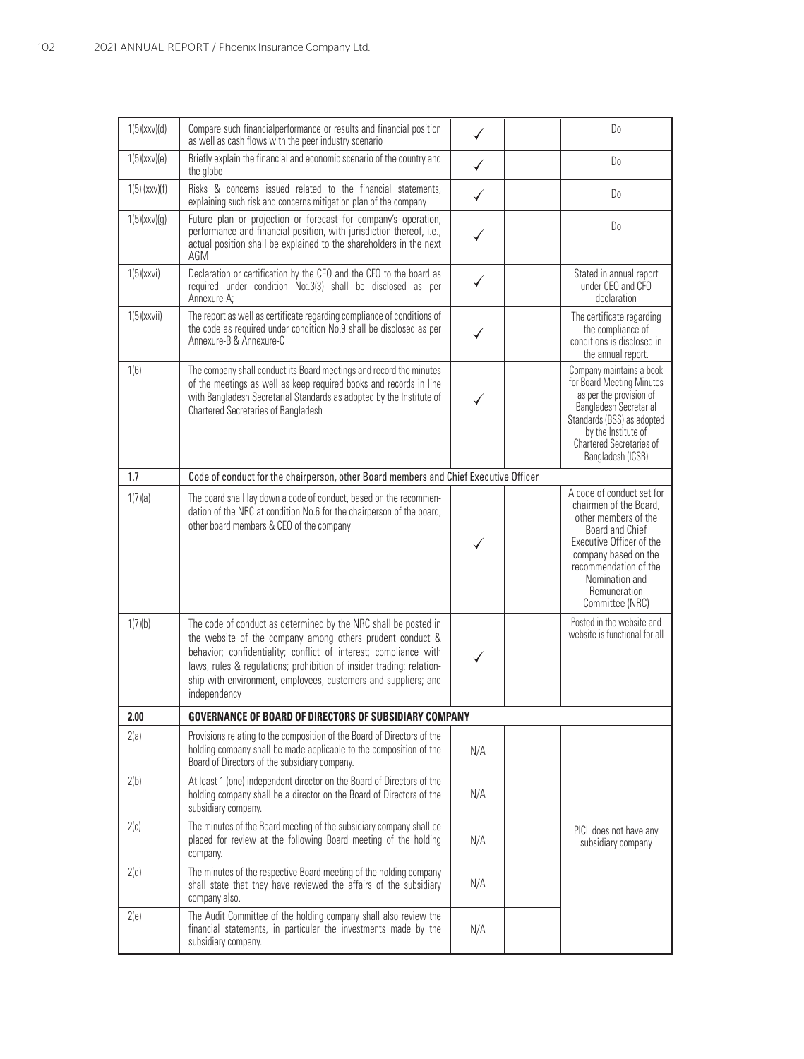| 1(5)(xxx)(d)    | Compare such financialperformance or results and financial position<br>as well as cash flows with the peer industry scenario                                                                                                                                                                                                                               |     | Do                                                                                                                                                                                                                                      |
|-----------------|------------------------------------------------------------------------------------------------------------------------------------------------------------------------------------------------------------------------------------------------------------------------------------------------------------------------------------------------------------|-----|-----------------------------------------------------------------------------------------------------------------------------------------------------------------------------------------------------------------------------------------|
| 1(5)(xxx)(e)    | Briefly explain the financial and economic scenario of the country and<br>the globe                                                                                                                                                                                                                                                                        |     | Do                                                                                                                                                                                                                                      |
| $1(5)$ (xxv)(f) | Risks & concerns issued related to the financial statements,<br>explaining such risk and concerns mitigation plan of the company                                                                                                                                                                                                                           | ✓   | Do                                                                                                                                                                                                                                      |
| 1(5)(xxx)(g)    | Future plan or projection or forecast for company's operation,<br>performance and financial position, with jurisdiction thereof, i.e.,<br>actual position shall be explained to the shareholders in the next<br>AGM                                                                                                                                        |     | Do                                                                                                                                                                                                                                      |
| 1(5)(xxxi)      | Declaration or certification by the CEO and the CFO to the board as<br>required under condition No:.3(3) shall be disclosed as per<br>Annexure-A;                                                                                                                                                                                                          |     | Stated in annual report<br>under CEO and CFO<br>declaration                                                                                                                                                                             |
| 1(5)(xxxii)     | The report as well as certificate regarding compliance of conditions of<br>the code as required under condition No.9 shall be disclosed as per<br>Annexure-B & Annexure-C                                                                                                                                                                                  |     | The certificate regarding<br>the compliance of<br>conditions is disclosed in<br>the annual report.                                                                                                                                      |
| 1(6)            | The company shall conduct its Board meetings and record the minutes<br>of the meetings as well as keep required books and records in line<br>with Bangladesh Secretarial Standards as adopted by the Institute of<br>Chartered Secretaries of Bangladesh                                                                                                   |     | Company maintains a book<br>for Board Meeting Minutes<br>as per the provision of<br>Bangladesh Secretarial<br>Standards (BSS) as adopted<br>by the Institute of<br><b>Chartered Secretaries of</b><br>Bangladesh (ICSB)                 |
| 1.7             | Code of conduct for the chairperson, other Board members and Chief Executive Officer                                                                                                                                                                                                                                                                       |     |                                                                                                                                                                                                                                         |
| 1(7)(a)         | The board shall lay down a code of conduct, based on the recommen-<br>dation of the NRC at condition No.6 for the chairperson of the board,<br>other board members & CEO of the company                                                                                                                                                                    |     | A code of conduct set for<br>chairmen of the Board.<br>other members of the<br>Board and Chief<br>Executive Officer of the<br>company based on the<br>recommendation of the<br>Nomination and<br><b>Remuneration</b><br>Committee (NRC) |
| 1(7)(b)         | The code of conduct as determined by the NRC shall be posted in<br>the website of the company among others prudent conduct &<br>behavior; confidentiality; conflict of interest; compliance with<br>laws, rules & regulations; prohibition of insider trading; relation-<br>ship with environment, employees, customers and suppliers; and<br>independency |     | Posted in the website and<br>website is functional for all                                                                                                                                                                              |
| 2.00            | <b>GOVERNANCE OF BOARD OF DIRECTORS OF SUBSIDIARY COMPANY</b>                                                                                                                                                                                                                                                                                              |     |                                                                                                                                                                                                                                         |
| 2(a)            | Provisions relating to the composition of the Board of Directors of the<br>holding company shall be made applicable to the composition of the<br>Board of Directors of the subsidiary company.                                                                                                                                                             | N/A |                                                                                                                                                                                                                                         |
| 2(b)            | At least 1 (one) independent director on the Board of Directors of the<br>holding company shall be a director on the Board of Directors of the<br>subsidiary company.                                                                                                                                                                                      | N/A |                                                                                                                                                                                                                                         |
| 2(c)            | The minutes of the Board meeting of the subsidiary company shall be<br>placed for review at the following Board meeting of the holding<br>company.                                                                                                                                                                                                         | N/A | PICL does not have any<br>subsidiary company                                                                                                                                                                                            |
| 2(d)            | The minutes of the respective Board meeting of the holding company<br>shall state that they have reviewed the affairs of the subsidiary<br>company also.                                                                                                                                                                                                   | N/A |                                                                                                                                                                                                                                         |
| 2(e)            | The Audit Committee of the holding company shall also review the<br>financial statements, in particular the investments made by the<br>subsidiary company.                                                                                                                                                                                                 | N/A |                                                                                                                                                                                                                                         |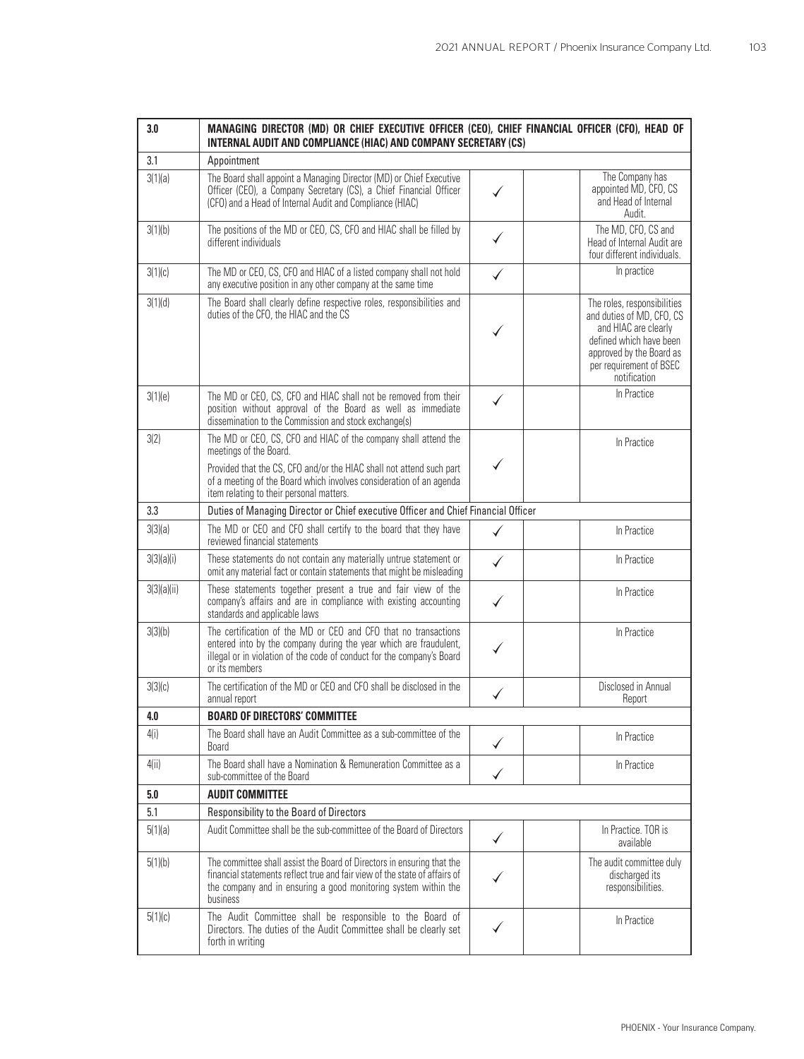| 3.0         | MANAGING DIRECTOR (MD) OR CHIEF EXECUTIVE OFFICER (CEO), CHIEF FINANCIAL OFFICER (CFO), HEAD OF<br>INTERNAL AUDIT AND COMPLIANCE (HIAC) AND COMPANY SECRETARY (CS)                                                                                                                   |   |                                                                                                                                                                                    |
|-------------|--------------------------------------------------------------------------------------------------------------------------------------------------------------------------------------------------------------------------------------------------------------------------------------|---|------------------------------------------------------------------------------------------------------------------------------------------------------------------------------------|
| 3.1         | Appointment                                                                                                                                                                                                                                                                          |   |                                                                                                                                                                                    |
| 3(1)(a)     | The Board shall appoint a Managing Director (MD) or Chief Executive<br>Officer (CEO), a Company Secretary (CS), a Chief Financial Officer<br>(CFO) and a Head of Internal Audit and Compliance (HIAC)                                                                                |   | The Company has<br>appointed MD, CFO, CS<br>and Head of Internal<br>Audit.                                                                                                         |
| 3(1)(b)     | The positions of the MD or CEO, CS, CFO and HIAC shall be filled by<br>different individuals                                                                                                                                                                                         |   | The MD, CFO, CS and<br>Head of Internal Audit are<br>four different individuals.                                                                                                   |
| 3(1)(c)     | The MD or CEO, CS, CFO and HIAC of a listed company shall not hold<br>any executive position in any other company at the same time                                                                                                                                                   |   | In practice                                                                                                                                                                        |
| 3(1)(d)     | The Board shall clearly define respective roles, responsibilities and<br>duties of the CFO, the HIAC and the CS                                                                                                                                                                      |   | The roles, responsibilities<br>and duties of MD, CFO, CS<br>and HIAC are clearly<br>defined which have been<br>approved by the Board as<br>per requirement of BSEC<br>notification |
| 3(1)(e)     | The MD or CEO, CS, CFO and HIAC shall not be removed from their<br>position without approval of the Board as well as immediate<br>dissemination to the Commission and stock exchange(s)                                                                                              |   | In Practice                                                                                                                                                                        |
| 3(2)        | The MD or CEO, CS, CFO and HIAC of the company shall attend the<br>meetings of the Board.<br>Provided that the CS, CFO and/or the HIAC shall not attend such part<br>of a meeting of the Board which involves consideration of an agenda<br>item relating to their personal matters. |   | In Practice                                                                                                                                                                        |
| 3.3         | Duties of Managing Director or Chief executive Officer and Chief Financial Officer                                                                                                                                                                                                   |   |                                                                                                                                                                                    |
| 3(3)(a)     | The MD or CEO and CFO shall certify to the board that they have<br>reviewed financial statements                                                                                                                                                                                     |   | In Practice                                                                                                                                                                        |
| 3(3)(a)(i)  | These statements do not contain any materially untrue statement or<br>omit any material fact or contain statements that might be misleading                                                                                                                                          | ✓ | In Practice                                                                                                                                                                        |
| 3(3)(a)(ii) | These statements together present a true and fair view of the<br>company's affairs and are in compliance with existing accounting<br>standards and applicable laws                                                                                                                   |   | In Practice                                                                                                                                                                        |
| 3(3)(b)     | The certification of the MD or CEO and CFO that no transactions<br>entered into by the company during the year which are fraudulent,<br>illegal or in violation of the code of conduct for the company's Board<br>or its members                                                     |   | In Practice                                                                                                                                                                        |
| 3(3)(c)     | The certification of the MD or CEO and CFO shall be disclosed in the<br>annual report                                                                                                                                                                                                |   | Disclosed in Annual<br>Report                                                                                                                                                      |
| 4.0         | <b>BOARD OF DIRECTORS' COMMITTEE</b>                                                                                                                                                                                                                                                 |   |                                                                                                                                                                                    |
| 4(i)        | The Board shall have an Audit Committee as a sub-committee of the<br><b>Board</b>                                                                                                                                                                                                    |   | In Practice                                                                                                                                                                        |
| 4(ii)       | The Board shall have a Nomination & Remuneration Committee as a<br>sub-committee of the Board                                                                                                                                                                                        |   | In Practice                                                                                                                                                                        |
| 5.0         | <b>AUDIT COMMITTEE</b>                                                                                                                                                                                                                                                               |   |                                                                                                                                                                                    |
| 5.1         | Responsibility to the Board of Directors                                                                                                                                                                                                                                             |   |                                                                                                                                                                                    |
| 5(1)(a)     | Audit Committee shall be the sub-committee of the Board of Directors                                                                                                                                                                                                                 | ✓ | In Practice. TOR is<br>available                                                                                                                                                   |
| 5(1)(b)     | The committee shall assist the Board of Directors in ensuring that the<br>financial statements reflect true and fair view of the state of affairs of<br>the company and in ensuring a good monitoring system within the<br>business                                                  |   | The audit committee duly<br>discharged its<br>responsibilities.                                                                                                                    |
| 5(1)(c)     | The Audit Committee shall be responsible to the Board of<br>Directors. The duties of the Audit Committee shall be clearly set<br>forth in writing                                                                                                                                    |   | In Practice                                                                                                                                                                        |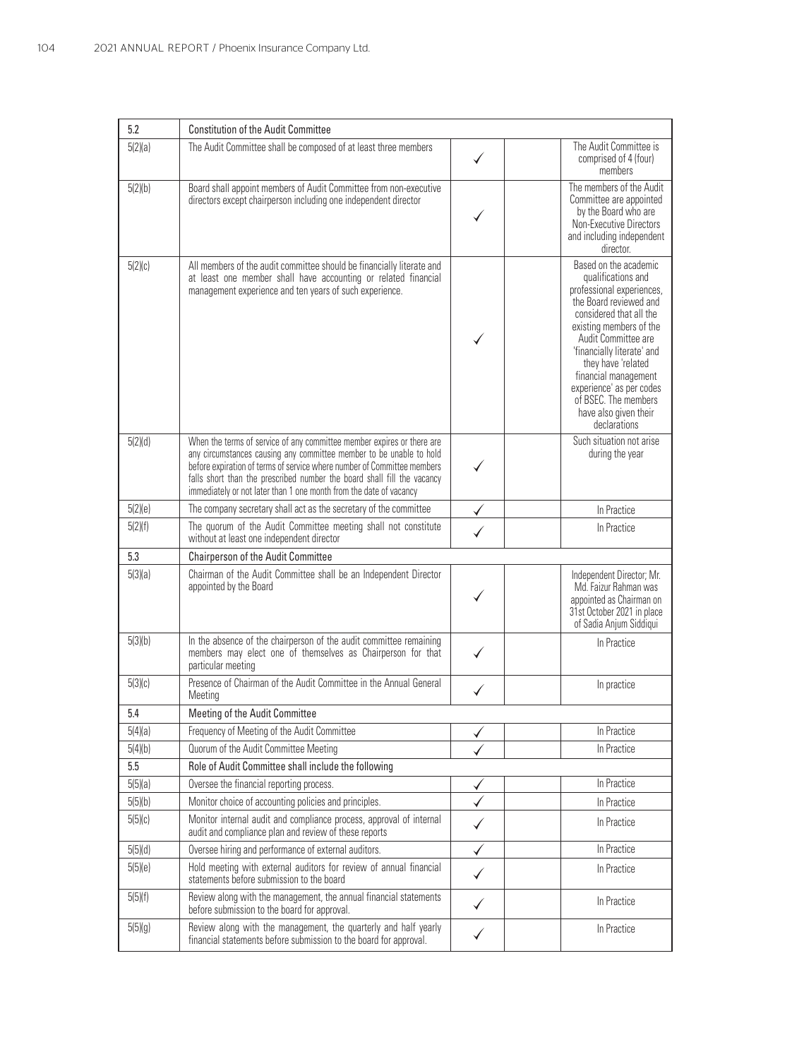| 5.2     | <b>Constitution of the Audit Committee</b>                                                                                                                                                                                                                                                                                                                                |   |                                                                                                                                                                                                                                                                                                                                                          |
|---------|---------------------------------------------------------------------------------------------------------------------------------------------------------------------------------------------------------------------------------------------------------------------------------------------------------------------------------------------------------------------------|---|----------------------------------------------------------------------------------------------------------------------------------------------------------------------------------------------------------------------------------------------------------------------------------------------------------------------------------------------------------|
| 5(2)(a) | The Audit Committee shall be composed of at least three members                                                                                                                                                                                                                                                                                                           |   | The Audit Committee is<br>comprised of 4 (four)<br>members                                                                                                                                                                                                                                                                                               |
| 5(2)(b) | Board shall appoint members of Audit Committee from non-executive<br>directors except chairperson including one independent director                                                                                                                                                                                                                                      |   | The members of the Audit<br>Committee are appointed<br>by the Board who are<br>Non-Executive Directors<br>and including independent<br>director.                                                                                                                                                                                                         |
| 5(2)(c) | All members of the audit committee should be financially literate and<br>at least one member shall have accounting or related financial<br>management experience and ten years of such experience.                                                                                                                                                                        |   | Based on the academic<br>qualifications and<br>professional experiences,<br>the Board reviewed and<br>considered that all the<br>existing members of the<br>Audit Committee are<br>'financially literate' and<br>they have 'related<br>financial management<br>experience' as per codes<br>of BSEC. The members<br>have also given their<br>declarations |
| 5(2)(d) | When the terms of service of any committee member expires or there are<br>any circumstances causing any committee member to be unable to hold<br>before expiration of terms of service where number of Committee members<br>falls short than the prescribed number the board shall fill the vacancy<br>immediately or not later than 1 one month from the date of vacancy |   | Such situation not arise<br>during the year                                                                                                                                                                                                                                                                                                              |
| 5(2)(e) | The company secretary shall act as the secretary of the committee                                                                                                                                                                                                                                                                                                         |   | In Practice                                                                                                                                                                                                                                                                                                                                              |
| 5(2)(f) | The quorum of the Audit Committee meeting shall not constitute<br>without at least one independent director                                                                                                                                                                                                                                                               |   | In Practice                                                                                                                                                                                                                                                                                                                                              |
| 5.3     | Chairperson of the Audit Committee                                                                                                                                                                                                                                                                                                                                        |   |                                                                                                                                                                                                                                                                                                                                                          |
| 5(3)(a) | Chairman of the Audit Committee shall be an Independent Director<br>appointed by the Board                                                                                                                                                                                                                                                                                |   | Independent Director; Mr.<br>Md. Faizur Rahman was<br>appointed as Chairman on<br>31st October 2021 in place<br>of Sadia Anjum Siddiqui                                                                                                                                                                                                                  |
| 5(3)(b) | In the absence of the chairperson of the audit committee remaining<br>members may elect one of themselves as Chairperson for that<br>particular meeting                                                                                                                                                                                                                   |   | In Practice                                                                                                                                                                                                                                                                                                                                              |
| 5(3)(c) | Presence of Chairman of the Audit Committee in the Annual General<br>Meeting                                                                                                                                                                                                                                                                                              |   | In practice                                                                                                                                                                                                                                                                                                                                              |
| 5.4     | Meeting of the Audit Committee                                                                                                                                                                                                                                                                                                                                            |   |                                                                                                                                                                                                                                                                                                                                                          |
| 5(4)(a) | Frequency of Meeting of the Audit Committee                                                                                                                                                                                                                                                                                                                               |   | In Practice                                                                                                                                                                                                                                                                                                                                              |
| 5(4)(b) | Quorum of the Audit Committee Meeting                                                                                                                                                                                                                                                                                                                                     |   | In Practice                                                                                                                                                                                                                                                                                                                                              |
| 5.5     | Role of Audit Committee shall include the following                                                                                                                                                                                                                                                                                                                       |   |                                                                                                                                                                                                                                                                                                                                                          |
| 5(5)(a) | Oversee the financial reporting process.                                                                                                                                                                                                                                                                                                                                  |   | In Practice                                                                                                                                                                                                                                                                                                                                              |
| 5(5)(b) | Monitor choice of accounting policies and principles.                                                                                                                                                                                                                                                                                                                     |   | In Practice                                                                                                                                                                                                                                                                                                                                              |
| 5(5)(c) | Monitor internal audit and compliance process, approval of internal<br>audit and compliance plan and review of these reports                                                                                                                                                                                                                                              |   | In Practice                                                                                                                                                                                                                                                                                                                                              |
| 5(5)(d) | Oversee hiring and performance of external auditors.                                                                                                                                                                                                                                                                                                                      | ✓ | In Practice                                                                                                                                                                                                                                                                                                                                              |
| 5(5)(e) | Hold meeting with external auditors for review of annual financial<br>statements before submission to the board                                                                                                                                                                                                                                                           | ✓ | In Practice                                                                                                                                                                                                                                                                                                                                              |
| 5(5)(f) | Review along with the management, the annual financial statements<br>before submission to the board for approval.                                                                                                                                                                                                                                                         | ✓ | In Practice                                                                                                                                                                                                                                                                                                                                              |
| 5(5)(g) | Review along with the management, the quarterly and half yearly<br>financial statements before submission to the board for approval.                                                                                                                                                                                                                                      | ✓ | In Practice                                                                                                                                                                                                                                                                                                                                              |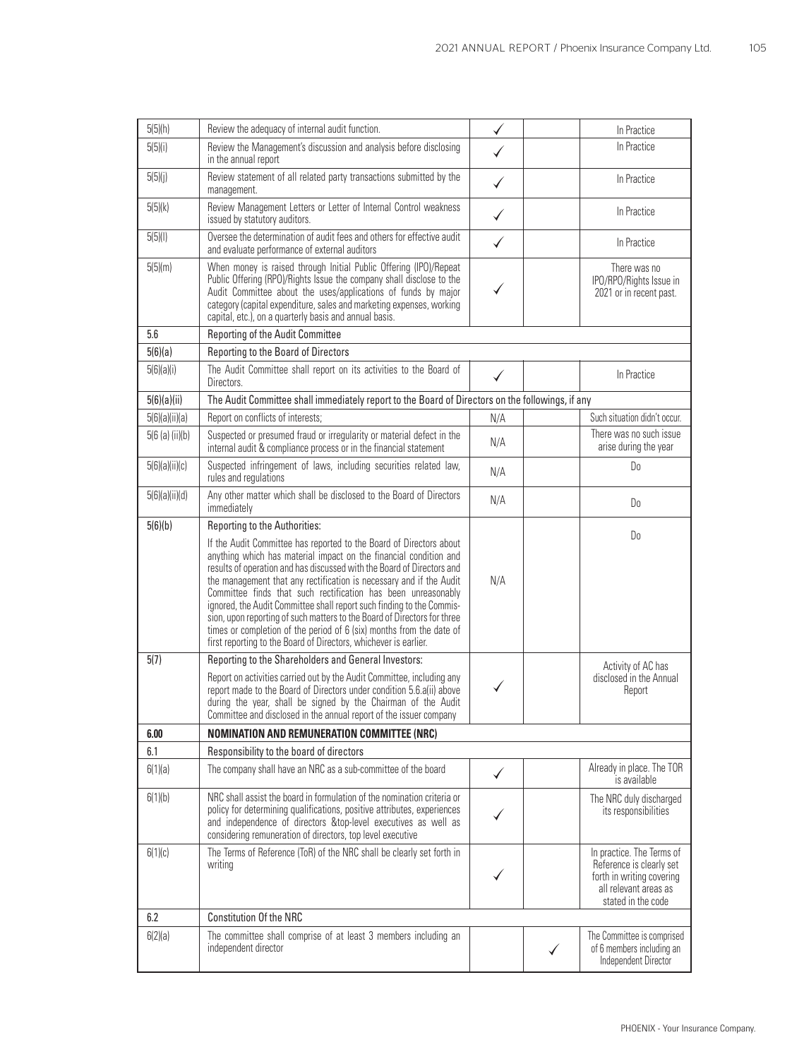| 5(5)(h)          | Review the adequacy of internal audit function.                                                                                                                                                                                                                                                                                                                                                                                                                                                                                                                                                                                                             |              | In Practice                                                                                                                       |
|------------------|-------------------------------------------------------------------------------------------------------------------------------------------------------------------------------------------------------------------------------------------------------------------------------------------------------------------------------------------------------------------------------------------------------------------------------------------------------------------------------------------------------------------------------------------------------------------------------------------------------------------------------------------------------------|--------------|-----------------------------------------------------------------------------------------------------------------------------------|
| 5(5)(i)          | Review the Management's discussion and analysis before disclosing<br>in the annual report                                                                                                                                                                                                                                                                                                                                                                                                                                                                                                                                                                   |              | In Practice                                                                                                                       |
| 5(5)(j)          | Review statement of all related party transactions submitted by the<br>management.                                                                                                                                                                                                                                                                                                                                                                                                                                                                                                                                                                          |              | In Practice                                                                                                                       |
| 5(5)(k)          | Review Management Letters or Letter of Internal Control weakness<br>issued by statutory auditors.                                                                                                                                                                                                                                                                                                                                                                                                                                                                                                                                                           | ✓            | In Practice                                                                                                                       |
| 5(5)(1)          | Oversee the determination of audit fees and others for effective audit<br>and evaluate performance of external auditors                                                                                                                                                                                                                                                                                                                                                                                                                                                                                                                                     | $\checkmark$ | In Practice                                                                                                                       |
| 5(5)(m)          | When money is raised through Initial Public Offering (IPO)/Repeat<br>Public Offering (RPO)/Rights Issue the company shall disclose to the<br>Audit Committee about the uses/applications of funds by major<br>category (capital expenditure, sales and marketing expenses, working<br>capital, etc.), on a quarterly basis and annual basis.                                                                                                                                                                                                                                                                                                                |              | There was no<br>IPO/RPO/Rights Issue in<br>2021 or in recent past.                                                                |
| 5.6              | Reporting of the Audit Committee                                                                                                                                                                                                                                                                                                                                                                                                                                                                                                                                                                                                                            |              |                                                                                                                                   |
| 5(6)(a)          | Reporting to the Board of Directors                                                                                                                                                                                                                                                                                                                                                                                                                                                                                                                                                                                                                         |              |                                                                                                                                   |
| 5(6)(a)(i)       | The Audit Committee shall report on its activities to the Board of<br>Directors.                                                                                                                                                                                                                                                                                                                                                                                                                                                                                                                                                                            |              | In Practice                                                                                                                       |
| 5(6)(a)(ii)      | The Audit Committee shall immediately report to the Board of Directors on the followings, if any                                                                                                                                                                                                                                                                                                                                                                                                                                                                                                                                                            |              |                                                                                                                                   |
| 5(6)(a)(ii)(a)   | Report on conflicts of interests;                                                                                                                                                                                                                                                                                                                                                                                                                                                                                                                                                                                                                           | N/A          | Such situation didn't occur.                                                                                                      |
| 5(6 (a) (ii)(b)) | Suspected or presumed fraud or irregularity or material defect in the<br>internal audit & compliance process or in the financial statement                                                                                                                                                                                                                                                                                                                                                                                                                                                                                                                  | N/A          | There was no such issue<br>arise during the year                                                                                  |
| 5(6)(a)(ii)(c)   | Suspected infringement of laws, including securities related law,<br>rules and regulations                                                                                                                                                                                                                                                                                                                                                                                                                                                                                                                                                                  | N/A          | D <sub>0</sub>                                                                                                                    |
| 5(6)(a)(ii)(d)   | Any other matter which shall be disclosed to the Board of Directors<br>immediately                                                                                                                                                                                                                                                                                                                                                                                                                                                                                                                                                                          | N/A          | Do                                                                                                                                |
| 5(6)(b)          | Reporting to the Authorities:                                                                                                                                                                                                                                                                                                                                                                                                                                                                                                                                                                                                                               |              | D <sub>0</sub>                                                                                                                    |
|                  | If the Audit Committee has reported to the Board of Directors about<br>anything which has material impact on the financial condition and<br>results of operation and has discussed with the Board of Directors and<br>the management that any rectification is necessary and if the Audit<br>Committee finds that such rectification has been unreasonably<br>ignored, the Audit Committee shall report such finding to the Commis-<br>sion, upon reporting of such matters to the Board of Directors for three<br>times or completion of the period of 6 (six) months from the date of<br>first reporting to the Board of Directors, whichever is earlier. | N/A          |                                                                                                                                   |
| 5(7)             | Reporting to the Shareholders and General Investors:                                                                                                                                                                                                                                                                                                                                                                                                                                                                                                                                                                                                        |              | Activity of AC has                                                                                                                |
|                  | Report on activities carried out by the Audit Committee, including any<br>report made to the Board of Directors under condition 5.6.a(ii) above<br>during the year, shall be signed by the Chairman of the Audit<br>Committee and disclosed in the annual report of the issuer company                                                                                                                                                                                                                                                                                                                                                                      |              | disclosed in the Annual<br>Report                                                                                                 |
| 6.00             | <b>NOMINATION AND REMUNERATION COMMITTEE (NRC)</b>                                                                                                                                                                                                                                                                                                                                                                                                                                                                                                                                                                                                          |              |                                                                                                                                   |
| 6.1              | Responsibility to the board of directors                                                                                                                                                                                                                                                                                                                                                                                                                                                                                                                                                                                                                    |              |                                                                                                                                   |
| 6(1)(a)          | The company shall have an NRC as a sub-committee of the board                                                                                                                                                                                                                                                                                                                                                                                                                                                                                                                                                                                               | ✓            | Already in place. The TOR<br>is available                                                                                         |
| 6(1)(b)          | NRC shall assist the board in formulation of the nomination criteria or<br>policy for determining qualifications, positive attributes, experiences<br>and independence of directors &top-level executives as well as<br>considering remuneration of directors, top level executive                                                                                                                                                                                                                                                                                                                                                                          |              | The NRC duly discharged<br>its responsibilities                                                                                   |
| 6(1)(c)          | The Terms of Reference (ToR) of the NRC shall be clearly set forth in<br>writing                                                                                                                                                                                                                                                                                                                                                                                                                                                                                                                                                                            |              | In practice. The Terms of<br>Reference is clearly set<br>forth in writing covering<br>all relevant areas as<br>stated in the code |
| 6.2              | <b>Constitution Of the NRC</b>                                                                                                                                                                                                                                                                                                                                                                                                                                                                                                                                                                                                                              |              |                                                                                                                                   |
| 6(2)(a)          | The committee shall comprise of at least 3 members including an<br>independent director                                                                                                                                                                                                                                                                                                                                                                                                                                                                                                                                                                     |              | The Committee is comprised<br>of 6 members including an<br>Independent Director                                                   |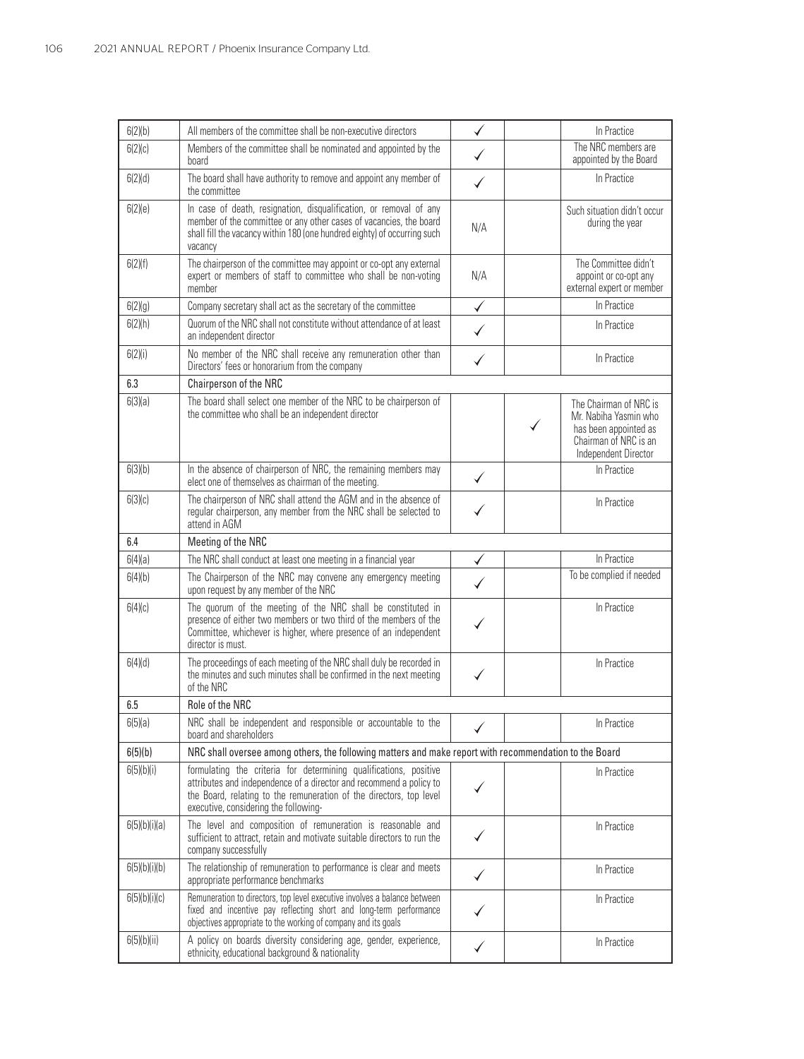| 6(2)(b)       | All members of the committee shall be non-executive directors                                                                                                                                                                                            | ✓            | In Practice                                                                                                                    |
|---------------|----------------------------------------------------------------------------------------------------------------------------------------------------------------------------------------------------------------------------------------------------------|--------------|--------------------------------------------------------------------------------------------------------------------------------|
| 6(2)(c)       | Members of the committee shall be nominated and appointed by the<br>board                                                                                                                                                                                |              | The NRC members are<br>appointed by the Board                                                                                  |
| 6(2)(d)       | The board shall have authority to remove and appoint any member of<br>the committee                                                                                                                                                                      |              | In Practice                                                                                                                    |
| 6(2)(e)       | In case of death, resignation, disqualification, or removal of any<br>member of the committee or any other cases of vacancies, the board<br>shall fill the vacancy within 180 (one hundred eighty) of occurring such<br>vacancy                          | N/A          | Such situation didn't occur<br>during the year                                                                                 |
| 6(2)(f)       | The chairperson of the committee may appoint or co-opt any external<br>expert or members of staff to committee who shall be non-voting<br>member                                                                                                         | N/A          | The Committee didn't<br>appoint or co-opt any<br>external expert or member                                                     |
| 6(2)(g)       | Company secretary shall act as the secretary of the committee                                                                                                                                                                                            | $\checkmark$ | In Practice                                                                                                                    |
| 6(2)(h)       | Quorum of the NRC shall not constitute without attendance of at least<br>an independent director                                                                                                                                                         | ✓            | In Practice                                                                                                                    |
| 6(2)(i)       | No member of the NRC shall receive any remuneration other than<br>Directors' fees or honorarium from the company                                                                                                                                         |              | In Practice                                                                                                                    |
| 6.3           | Chairperson of the NRC                                                                                                                                                                                                                                   |              |                                                                                                                                |
| 6(3)(a)       | The board shall select one member of the NRC to be chairperson of<br>the committee who shall be an independent director                                                                                                                                  |              | The Chairman of NRC is<br>Mr. Nabiha Yasmin who<br>✓<br>has been appointed as<br>Chairman of NRC is an<br>Independent Director |
| 6(3)(b)       | In the absence of chairperson of NRC, the remaining members may<br>elect one of themselves as chairman of the meeting.                                                                                                                                   | $\checkmark$ | In Practice                                                                                                                    |
| 6(3)(c)       | The chairperson of NRC shall attend the AGM and in the absence of<br>regular chairperson, any member from the NRC shall be selected to<br>attend in AGM                                                                                                  |              | In Practice                                                                                                                    |
| 6.4           | Meeting of the NRC                                                                                                                                                                                                                                       |              |                                                                                                                                |
| 6(4)(a)       | The NRC shall conduct at least one meeting in a financial year                                                                                                                                                                                           |              | In Practice                                                                                                                    |
| 6(4)(b)       | The Chairperson of the NRC may convene any emergency meeting<br>upon request by any member of the NRC                                                                                                                                                    |              | To be complied if needed                                                                                                       |
| 6(4)(c)       | The quorum of the meeting of the NRC shall be constituted in<br>presence of either two members or two third of the members of the<br>Committee, whichever is higher, where presence of an independent<br>director is must.                               |              | In Practice                                                                                                                    |
| 6(4)(d)       | The proceedings of each meeting of the NRC shall duly be recorded in<br>the minutes and such minutes shall be confirmed in the next meeting<br>of the NRC                                                                                                |              | In Practice                                                                                                                    |
| 6.5           | Role of the NRC                                                                                                                                                                                                                                          |              |                                                                                                                                |
| 6(5)(a)       | NRC shall be independent and responsible or accountable to the<br>board and shareholders                                                                                                                                                                 |              | In Practice                                                                                                                    |
| 6(5)(b)       | NRC shall oversee among others, the following matters and make report with recommendation to the Board                                                                                                                                                   |              |                                                                                                                                |
| 6(5)(b)(i)    | formulating the criteria for determining qualifications, positive<br>attributes and independence of a director and recommend a policy to<br>the Board, relating to the remuneration of the directors, top level<br>executive, considering the following- |              | In Practice                                                                                                                    |
| 6(5)(b)(i)(a) | The level and composition of remuneration is reasonable and<br>sufficient to attract, retain and motivate suitable directors to run the<br>company successfully                                                                                          |              | In Practice                                                                                                                    |
| 6(5)(b)(i)(b) | The relationship of remuneration to performance is clear and meets<br>appropriate performance benchmarks                                                                                                                                                 | ✓            | In Practice                                                                                                                    |
| 6(5)(b)(i)(c) | Remuneration to directors, top level executive involves a balance between<br>fixed and incentive pay reflecting short and long-term performance<br>objectives appropriate to the working of company and its goals                                        |              | In Practice                                                                                                                    |
| 6(5)(b)(ii)   | A policy on boards diversity considering age, gender, experience,<br>ethnicity, educational background & nationality                                                                                                                                     | ✓            | In Practice                                                                                                                    |